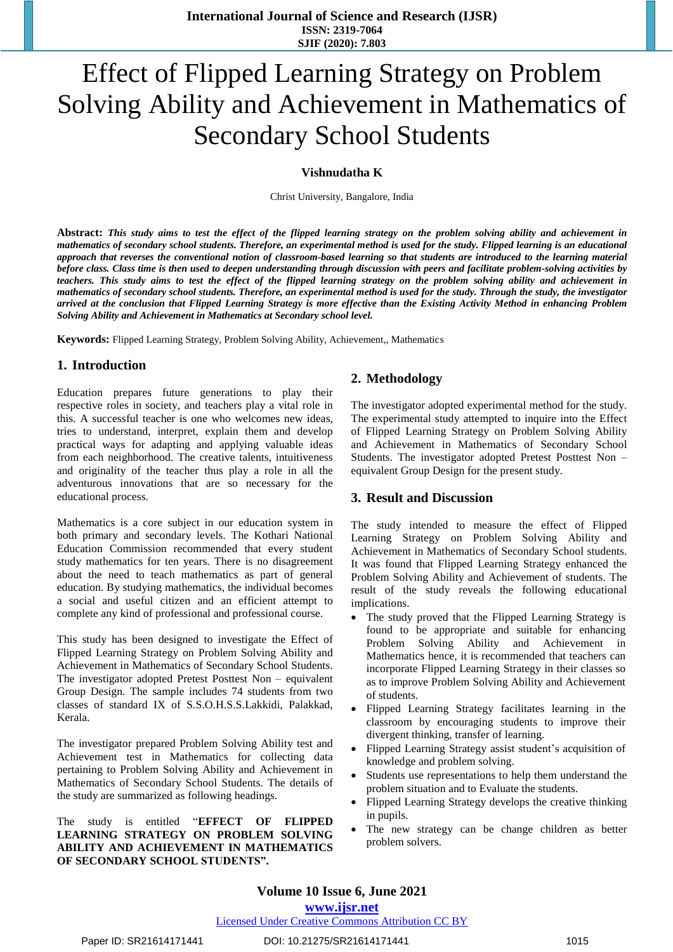# Effect of Flipped Learning Strategy on Problem Solving Ability and Achievement in Mathematics of Secondary School Students

#### **Vishnudatha K**

Christ University, Bangalore, India

Abstract: This study aims to test the effect of the flipped learning strategy on the problem solving ability and achievement in mathematics of secondary school students. Therefore, an experimental method is used for the study. Flipped learning is an educational approach that reverses the conventional notion of classroom-based learning so that students are introduced to the learning material before class. Class time is then used to deepen understanding through discussion with peers and facilitate problem-solving activities by teachers. This study aims to test the effect of the flipped learning strategy on the problem solving ability and achievement in mathematics of secondary school students. Therefore, an experimental method is used for the study. Through the study, the investigator arrived at the conclusion that Flipped Learning Strategy is more effective than the Existing Activity Method in enhancing Problem *Solving Ability and Achievement in Mathematics at Secondary school level.*

**Keywords:** Flipped Learning Strategy, Problem Solving Ability, Achievement,, Mathematics

## **1. Introduction**

Education prepares future generations to play their respective roles in society, and teachers play a vital role in this. A successful teacher is one who welcomes new ideas, tries to understand, interpret, explain them and develop practical ways for adapting and applying valuable ideas from each neighborhood. The creative talents, intuitiveness and originality of the teacher thus play a role in all the adventurous innovations that are so necessary for the educational process.

Mathematics is a core subject in our education system in both primary and secondary levels. The Kothari National Education Commission recommended that every student study mathematics for ten years. There is no disagreement about the need to teach mathematics as part of general education. By studying mathematics, the individual becomes a social and useful citizen and an efficient attempt to complete any kind of professional and professional course.

This study has been designed to investigate the Effect of Flipped Learning Strategy on Problem Solving Ability and Achievement in Mathematics of Secondary School Students. The investigator adopted Pretest Posttest Non – equivalent Group Design. The sample includes 74 students from two classes of standard IX of S.S.O.H.S.S.Lakkidi, Palakkad, Kerala.

The investigator prepared Problem Solving Ability test and Achievement test in Mathematics for collecting data pertaining to Problem Solving Ability and Achievement in Mathematics of Secondary School Students. The details of the study are summarized as following headings.

The study is entitled "**EFFECT OF FLIPPED LEARNING STRATEGY ON PROBLEM SOLVING ABILITY AND ACHIEVEMENT IN MATHEMATICS OF SECONDARY SCHOOL STUDENTS".**

## **2. Methodology**

The investigator adopted experimental method for the study. The experimental study attempted to inquire into the Effect of Flipped Learning Strategy on Problem Solving Ability and Achievement in Mathematics of Secondary School Students. The investigator adopted Pretest Posttest Non – equivalent Group Design for the present study.

#### **3. Result and Discussion**

The study intended to measure the effect of Flipped Learning Strategy on Problem Solving Ability and Achievement in Mathematics of Secondary School students. It was found that Flipped Learning Strategy enhanced the Problem Solving Ability and Achievement of students. The result of the study reveals the following educational implications.

- The study proved that the Flipped Learning Strategy is found to be appropriate and suitable for enhancing Problem Solving Ability and Achievement in Mathematics hence, it is recommended that teachers can incorporate Flipped Learning Strategy in their classes so as to improve Problem Solving Ability and Achievement of students.
- Flipped Learning Strategy facilitates learning in the classroom by encouraging students to improve their divergent thinking, transfer of learning.
- Flipped Learning Strategy assist student's acquisition of knowledge and problem solving.
- Students use representations to help them understand the problem situation and to Evaluate the students.
- Flipped Learning Strategy develops the creative thinking in pupils.
- The new strategy can be change children as better problem solvers.

# **Volume 10 Issue 6, June 2021**

Licensed Under Creative Commons Attribution CC BY